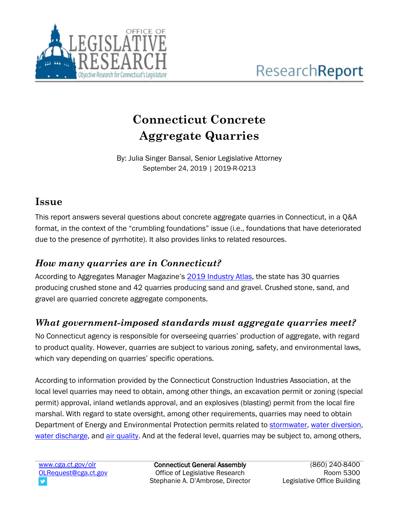

# **Connecticut Concrete Aggregate Quarries**

By: Julia Singer Bansal, Senior Legislative Attorney September 24, 2019 | 2019-R-0213

## **Issue**

This report answers several questions about concrete aggregate quarries in Connecticut, in a Q&A format, in the context of the "crumbling foundations" issue (i.e., foundations that have deteriorated due to the presence of pyrrhotite). It also provides links to related resources.

# *How many quarries are in Connecticut?*

According to Aggregates Manager Magazine's [2019 Industry Atlas,](https://dmtmag.uberflip.com/i/1125370-june-2019) the state has 30 quarries producing crushed stone and 42 quarries producing sand and gravel. Crushed stone, sand, and gravel are quarried concrete aggregate components.

# *What government-imposed standards must aggregate quarries meet?*

No Connecticut agency is responsible for overseeing quarries' production of aggregate, with regard to product quality. However, quarries are subject to various zoning, safety, and environmental laws, which vary depending on quarries' specific operations.

According to information provided by the Connecticut Construction Industries Association, at the local level quarries may need to obtain, among other things, an excavation permit or zoning (special permit) approval, inland wetlands approval, and an explosives (blasting) permit from the local fire marshal. With regard to state oversight, among other requirements, quarries may need to obtain Department of Energy and Environmental Protection permits related to [stormwater,](https://www.ct.gov/deep/cwp/view.asp?a=2721&q=325702&deepNav_GID=1654) [water diversion,](https://www.ct.gov/deep/cwp/view.asp?a=2720&q=325636&deepNav_GID=1654) [water discharge,](https://www.ct.gov/deep/cwp/view.asp?a=2721&q=325698&deepNav_GID=1654) and air [quality.](https://www.ct.gov/deep/cwp/view.asp?a=2684&q=322174&deepNav_GID=1619) And at the federal level, quarries may be subject to, among others,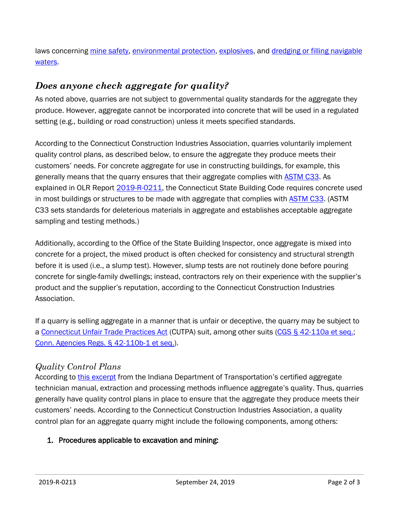laws concerning [mine safety,](https://www.msha.gov/) [environmental protection,](https://www.epa.gov/regulatory-information-sector/mining-except-oil-and-gas-sector-naics-212) [explosives,](https://www.atf.gov/explosives) and [dredging or filling navigable](https://www.usace.army.mil/Missions/Civil-Works/Regulatory-Program-and-Permits/Obtain-a-Permit/)  [waters.](https://www.usace.army.mil/Missions/Civil-Works/Regulatory-Program-and-Permits/Obtain-a-Permit/)

## *Does anyone check aggregate for quality?*

As noted above, quarries are not subject to governmental quality standards for the aggregate they produce. However, aggregate cannot be incorporated into concrete that will be used in a regulated setting (e.g., building or road construction) unless it meets specified standards.

According to the Connecticut Construction Industries Association, quarries voluntarily implement quality control plans, as described below, to ensure the aggregate they produce meets their customers' needs. For concrete aggregate for use in constructing buildings, for example, this generally means that the quarry ensures that their aggregate complies with [ASTM C33.](https://www.astm.org/Standards/C33) As explained in OLR Report [2019-R-0211,](https://www.cga.ct.gov/2019/rpt/pdf/2019-R-0211.pdf) the Connecticut State Building Code requires concrete used in most buildings or structures to be made with aggregate that complies with **ASTM C33.** (ASTM C33 sets standards for deleterious materials in aggregate and establishes acceptable aggregate sampling and testing methods.)

Additionally, according to the Office of the State Building Inspector, once aggregate is mixed into concrete for a project, the mixed product is often checked for consistency and structural strength before it is used (i.e., a slump test). However, slump tests are not routinely done before pouring concrete for single-family dwellings; instead, contractors rely on their experience with the supplier's product and the supplier's reputation, according to the Connecticut Construction Industries Association.

If a quarry is selling aggregate in a manner that is unfair or deceptive, the quarry may be subject to a [Connecticut Unfair Trade](https://portal.ct.gov/DCP/Trade-Practices-Division/About-the-Connecticut-Unfair-Trade-Practices-Act-CUTPA) Practices Act (CUTPA) suit, among other suits [\(CGS § 42-110a et seq.;](https://www.cga.ct.gov/current/pub/chap_735a.htm) [Conn. Agencies Regs. § 42-110b-1 et seq.\)](https://eregulations.ct.gov/eRegsPortal/Browse/RCSA/%7BA6D6808D-8176-4293-A8D3-9381397A41A1%7D).

### *Quality Control Plans*

According to [this excerpt](https://www.in.gov/indot/files/chapter_05.pdf) from the Indiana Department of Transportation's certified aggregate technician manual, extraction and processing methods influence aggregate's quality. Thus, quarries generally have quality control plans in place to ensure that the aggregate they produce meets their customers' needs. According to the Connecticut Construction Industries Association, a quality control plan for an aggregate quarry might include the following components, among others:

### 1. Procedures applicable to excavation and mining: